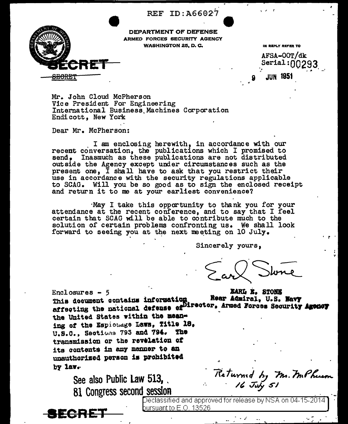REF ID: A66027



DEPARTMENT OF DEFENSE ARMED FORCES SECURITY AGENCY **WASHINGTON 25, D. C.** 

IN REPLY REFER TO

AFSA-OOT/dk Serial:nn293 JUN 19!

Mr. John Cloud McPherson Vice President For Engineering International Business Machines Corporation Endicott, New York

Dear Mr. McPherson:

I am enclosing herewith, in accordance with our recent conversation, the publications which I promised to send, Inasmuch as these publications are not distributed outside the Agency except under circumstances such as the present one, I shall have to ask that you restrict their use in accordance with the security regulations applicable to SCAG. Will you be so good as to sign the enclosed receipt and return it to me at your earliest convenience?

May I take this opportunity to thank you for your attendance at the recent conference, and to say that I feel certain that SCAG will be able to contribute much to the solution of certain problems confronting us. We shall look forward to seeing you at the next meeting on 10 July.

Sincerely yours,

**EARL E. STONE**  $Enclosures - 5$ This decument contains information Rear Admiral, U.S. Navy affecting the national defense of Iirector, Armed Forces Security Areney the United States within the meaning of the Espionage Laws, Title 18. U.S.C., Sections 793 and 794. The transmission or the revelation of its contents in any manner to an unauthorized person is prohibited  $by$  lav.

See also Public Law 513, 81 Congress second session

Returned by Mr. M.Pherson



Declassified and approved for release by NSA on 04-15-2014 bursuant to E.O. 13526